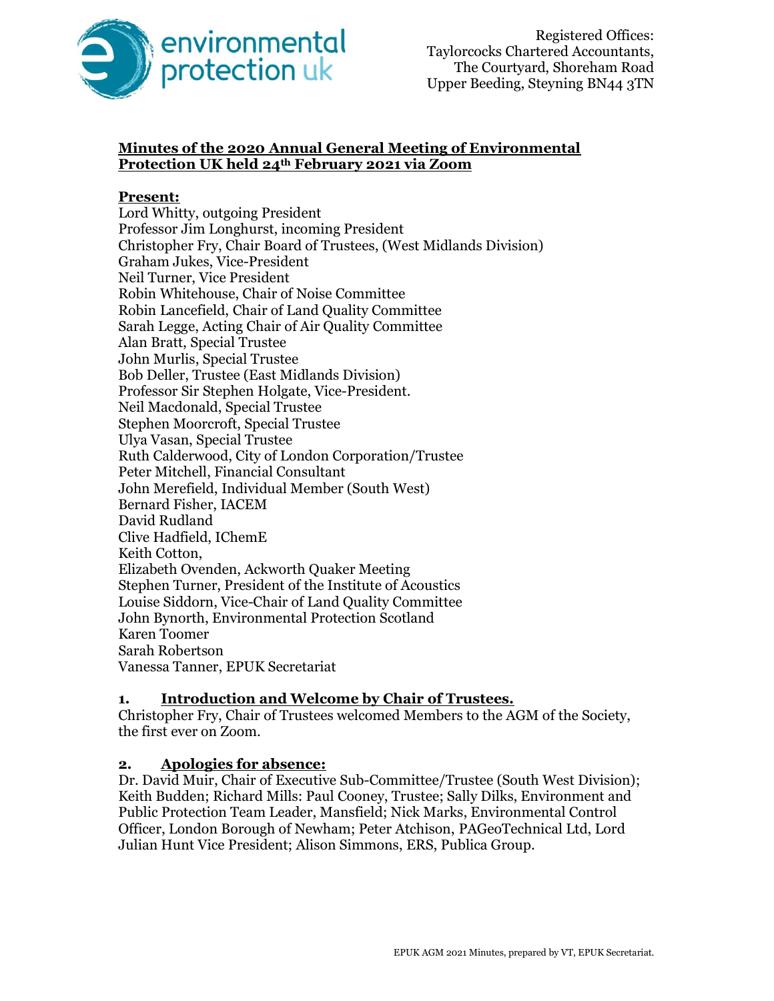

## Minutes of the 2020 Annual General Meeting of Environmental Protection UK held 24th February 2021 via Zoom

#### Present:

Lord Whitty, outgoing President Professor Jim Longhurst, incoming President Christopher Fry, Chair Board of Trustees, (West Midlands Division) Graham Jukes, Vice-President Neil Turner, Vice President Robin Whitehouse, Chair of Noise Committee Robin Lancefield, Chair of Land Quality Committee Sarah Legge, Acting Chair of Air Quality Committee Alan Bratt, Special Trustee John Murlis, Special Trustee Bob Deller, Trustee (East Midlands Division) Professor Sir Stephen Holgate, Vice-President. Neil Macdonald, Special Trustee Stephen Moorcroft, Special Trustee Ulya Vasan, Special Trustee Ruth Calderwood, City of London Corporation/Trustee Peter Mitchell, Financial Consultant John Merefield, Individual Member (South West) Bernard Fisher, IACEM David Rudland Clive Hadfield, IChemE Keith Cotton, Elizabeth Ovenden, Ackworth Quaker Meeting Stephen Turner, President of the Institute of Acoustics Louise Siddorn, Vice-Chair of Land Quality Committee John Bynorth, Environmental Protection Scotland Karen Toomer Sarah Robertson Vanessa Tanner, EPUK Secretariat

### 1. Introduction and Welcome by Chair of Trustees.

Christopher Fry, Chair of Trustees welcomed Members to the AGM of the Society, the first ever on Zoom.

### 2. Apologies for absence:

Dr. David Muir, Chair of Executive Sub-Committee/Trustee (South West Division); Keith Budden; Richard Mills: Paul Cooney, Trustee; Sally Dilks, Environment and Public Protection Team Leader, Mansfield; Nick Marks, Environmental Control Officer, London Borough of Newham; Peter Atchison, PAGeoTechnical Ltd, Lord Julian Hunt Vice President; Alison Simmons, ERS, Publica Group.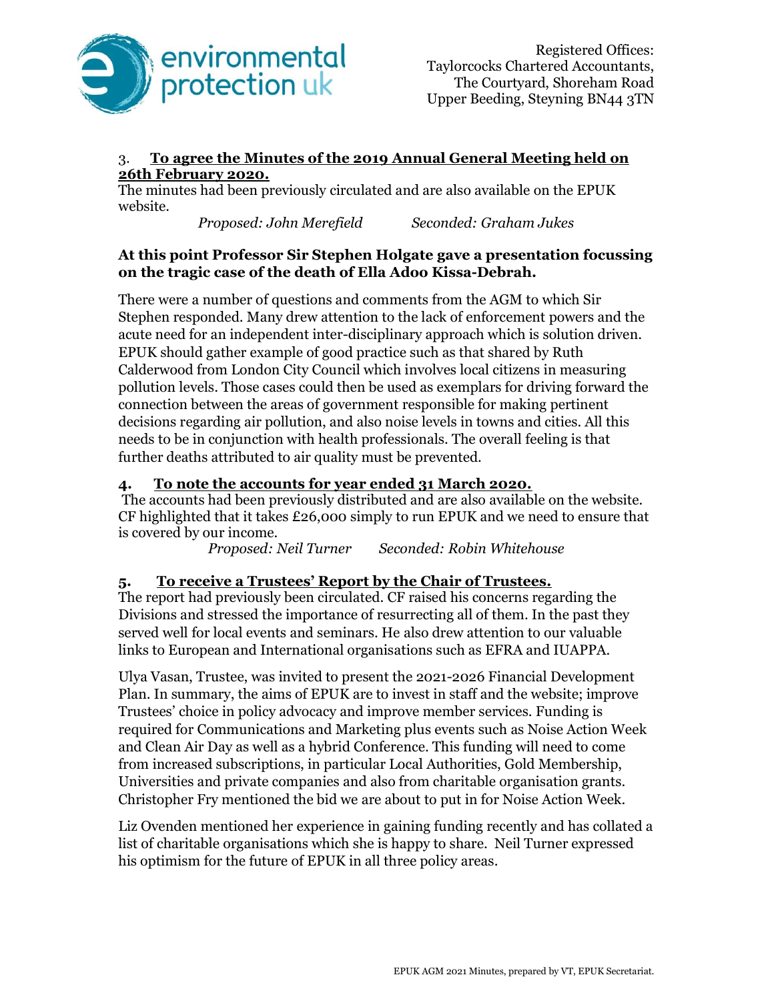

### 3. To agree the Minutes of the 2019 Annual General Meeting held on 26th February 2020.

The minutes had been previously circulated and are also available on the EPUK website.

Proposed: John Merefield Seconded: Graham Jukes

## At this point Professor Sir Stephen Holgate gave a presentation focussing on the tragic case of the death of Ella Adoo Kissa-Debrah.

There were a number of questions and comments from the AGM to which Sir Stephen responded. Many drew attention to the lack of enforcement powers and the acute need for an independent inter-disciplinary approach which is solution driven. EPUK should gather example of good practice such as that shared by Ruth Calderwood from London City Council which involves local citizens in measuring pollution levels. Those cases could then be used as exemplars for driving forward the connection between the areas of government responsible for making pertinent decisions regarding air pollution, and also noise levels in towns and cities. All this needs to be in conjunction with health professionals. The overall feeling is that further deaths attributed to air quality must be prevented.

# 4. To note the accounts for year ended 31 March 2020.

 The accounts had been previously distributed and are also available on the website. CF highlighted that it takes £26,000 simply to run EPUK and we need to ensure that is covered by our income.

Proposed: Neil Turner Seconded: Robin Whitehouse

# 5. To receive a Trustees' Report by the Chair of Trustees.

The report had previously been circulated. CF raised his concerns regarding the Divisions and stressed the importance of resurrecting all of them. In the past they served well for local events and seminars. He also drew attention to our valuable links to European and International organisations such as EFRA and IUAPPA.

Ulya Vasan, Trustee, was invited to present the 2021-2026 Financial Development Plan. In summary, the aims of EPUK are to invest in staff and the website; improve Trustees' choice in policy advocacy and improve member services. Funding is required for Communications and Marketing plus events such as Noise Action Week and Clean Air Day as well as a hybrid Conference. This funding will need to come from increased subscriptions, in particular Local Authorities, Gold Membership, Universities and private companies and also from charitable organisation grants. Christopher Fry mentioned the bid we are about to put in for Noise Action Week.

Liz Ovenden mentioned her experience in gaining funding recently and has collated a list of charitable organisations which she is happy to share. Neil Turner expressed his optimism for the future of EPUK in all three policy areas.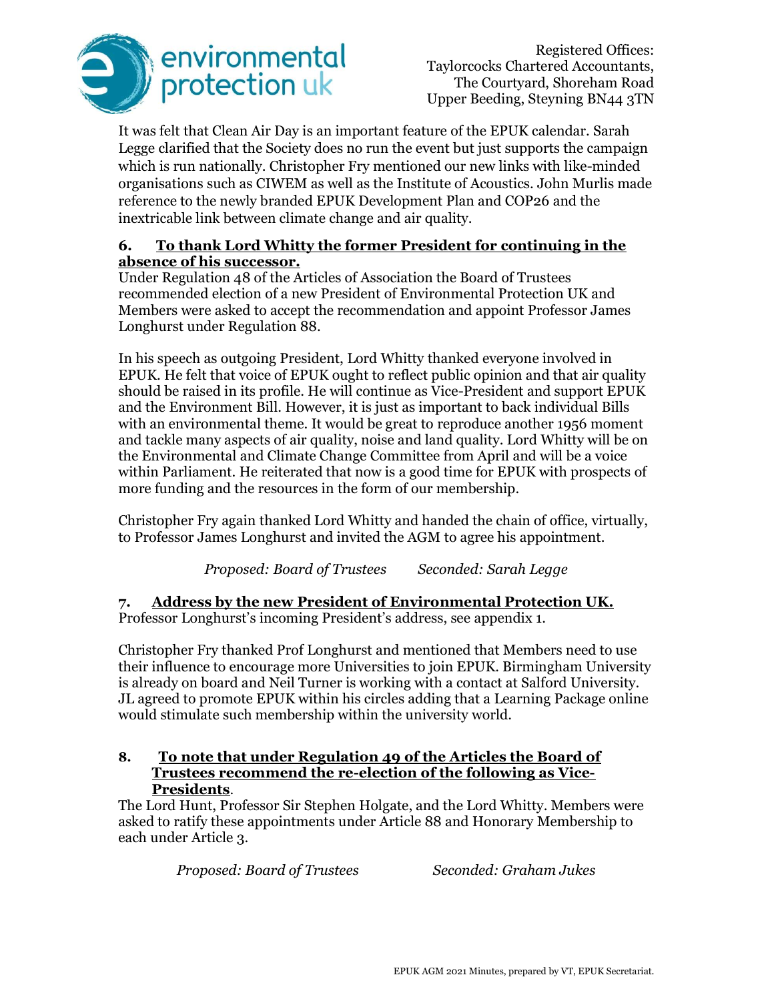

Registered Offices: Taylorcocks Chartered Accountants, The Courtyard, Shoreham Road Upper Beeding, Steyning BN44 3TN

It was felt that Clean Air Day is an important feature of the EPUK calendar. Sarah Legge clarified that the Society does no run the event but just supports the campaign which is run nationally. Christopher Fry mentioned our new links with like-minded organisations such as CIWEM as well as the Institute of Acoustics. John Murlis made reference to the newly branded EPUK Development Plan and COP26 and the inextricable link between climate change and air quality.

#### 6. To thank Lord Whitty the former President for continuing in the absence of his successor.

Under Regulation 48 of the Articles of Association the Board of Trustees recommended election of a new President of Environmental Protection UK and Members were asked to accept the recommendation and appoint Professor James Longhurst under Regulation 88.

In his speech as outgoing President, Lord Whitty thanked everyone involved in EPUK. He felt that voice of EPUK ought to reflect public opinion and that air quality should be raised in its profile. He will continue as Vice-President and support EPUK and the Environment Bill. However, it is just as important to back individual Bills with an environmental theme. It would be great to reproduce another 1956 moment and tackle many aspects of air quality, noise and land quality. Lord Whitty will be on the Environmental and Climate Change Committee from April and will be a voice within Parliament. He reiterated that now is a good time for EPUK with prospects of more funding and the resources in the form of our membership.

Christopher Fry again thanked Lord Whitty and handed the chain of office, virtually, to Professor James Longhurst and invited the AGM to agree his appointment.

Proposed: Board of Trustees Seconded: Sarah Legge

7. Address by the new President of Environmental Protection UK. Professor Longhurst's incoming President's address, see appendix 1.

Christopher Fry thanked Prof Longhurst and mentioned that Members need to use their influence to encourage more Universities to join EPUK. Birmingham University is already on board and Neil Turner is working with a contact at Salford University. JL agreed to promote EPUK within his circles adding that a Learning Package online would stimulate such membership within the university world.

### 8. To note that under Regulation 49 of the Articles the Board of Trustees recommend the re-election of the following as Vice-Presidents.

The Lord Hunt, Professor Sir Stephen Holgate, and the Lord Whitty. Members were asked to ratify these appointments under Article 88 and Honorary Membership to each under Article 3.

Proposed: Board of Trustees Seconded: Graham Jukes